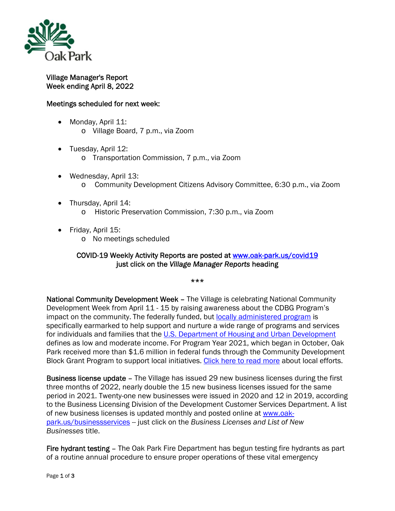

Village Manager's Report Week ending April 8, 2022

## Meetings scheduled for next week:

- Monday, April 11: o Village Board, 7 p.m., via Zoom
- Tuesday, April 12:
	- o Transportation Commission, 7 p.m., via Zoom
- Wednesday, April 13: o Community Development Citizens Advisory Committee, 6:30 p.m., via Zoom
- Thursday, April 14: o Historic Preservation Commission, 7:30 p.m., via Zoom
- Friday, April 15:
	- o No meetings scheduled

## COVID-19 Weekly Activity Reports are posted at www.oak-park.us/covid19 just click on the *Village Manager Reports* heading

\*\*\*

National Community Development Week – The Village is celebrating National Community Development Week from April 11 - 15 by raising awareness about the CDBG Program's impact on the community. The federally funded, but locally administered program is specifically earmarked to help support and nurture a wide range of programs and services for individuals and families that the U.S. Department of Housing and Urban Development defines as low and moderate income. For Program Year 2021, which began in October, Oak Park received more than \$1.6 million in federal funds through the Community Development Block Grant Program to support local initiatives. Click here to read more about local efforts.

Business license update – The Village has issued 29 new business licenses during the first three months of 2022, nearly double the 15 new business licenses issued for the same period in 2021. Twenty-one new businesses were issued in 2020 and 12 in 2019, according to the Business Licensing Division of the Development Customer Services Department. A list of new business licenses is updated monthly and posted online at www.oakpark.us/businessservices -- just click on the *Business Licenses and List of New Businesses* title.

Fire hydrant testing – The Oak Park Fire Department has begun testing fire hydrants as part of a routine annual procedure to ensure proper operations of these vital emergency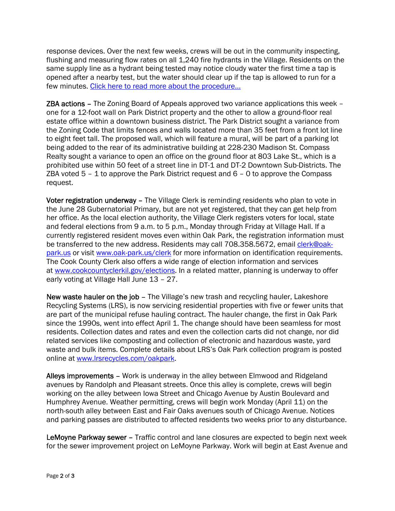response devices. Over the next few weeks, crews will be out in the community inspecting, flushing and measuring flow rates on all 1,240 fire hydrants in the Village. Residents on the same supply line as a hydrant being tested may notice cloudy water the first time a tap is opened after a nearby test, but the water should clear up if the tap is allowed to run for a few minutes. Click here to read more about the procedure…

ZBA actions – The Zoning Board of Appeals approved two variance applications this week – one for a 12-foot wall on Park District property and the other to allow a ground-floor real estate office within a downtown business district. The Park District sought a variance from the Zoning Code that limits fences and walls located more than 35 feet from a front lot line to eight feet tall. The proposed wall, which will feature a mural, will be part of a parking lot being added to the rear of its administrative building at 228-230 Madison St. Compass Realty sought a variance to open an office on the ground floor at 803 Lake St., which is a prohibited use within 50 feet of a street line in DT-1 and DT-2 Downtown Sub-Districts. The ZBA voted  $5 - 1$  to approve the Park District request and  $6 - 0$  to approve the Compass request.

Voter registration underway – The Village Clerk is reminding residents who plan to vote in the June 28 Gubernatorial Primary, but are not yet registered, that they can get help from her office. As the local election authority, the Village Clerk registers voters for local, state and federal elections from 9 a.m. to 5 p.m., Monday through Friday at Village Hall. If a currently registered resident moves even within Oak Park, the registration information must be transferred to the new address. Residents may call 708.358.5672, email clerk@oakpark.us or visit www.oak-park.us/clerk for more information on identification requirements. The Cook County Clerk also offers a wide range of election information and services at www.cookcountyclerkil.gov/elections. In a related matter, planning is underway to offer early voting at Village Hall June 13 – 27.

New waste hauler on the job - The Village's new trash and recycling hauler, Lakeshore Recycling Systems (LRS), is now servicing residential properties with five or fewer units that are part of the municipal refuse hauling contract. The hauler change, the first in Oak Park since the 1990s, went into effect April 1. The change should have been seamless for most residents. Collection dates and rates and even the collection carts did not change, nor did related services like composting and collection of electronic and hazardous waste, yard waste and bulk items. Complete details about LRS's Oak Park collection program is posted online at www.lrsrecycles.com/oakpark.

Alleys improvements – Work is underway in the alley between Elmwood and Ridgeland avenues by Randolph and Pleasant streets. Once this alley is complete, crews will begin working on the alley between Iowa Street and Chicago Avenue by Austin Boulevard and Humphrey Avenue. Weather permitting, crews will begin work Monday (April 11) on the north-south alley between East and Fair Oaks avenues south of Chicago Avenue. Notices and parking passes are distributed to affected residents two weeks prior to any disturbance.

LeMoyne Parkway sewer – Traffic control and lane closures are expected to begin next week for the sewer improvement project on LeMoyne Parkway. Work will begin at East Avenue and